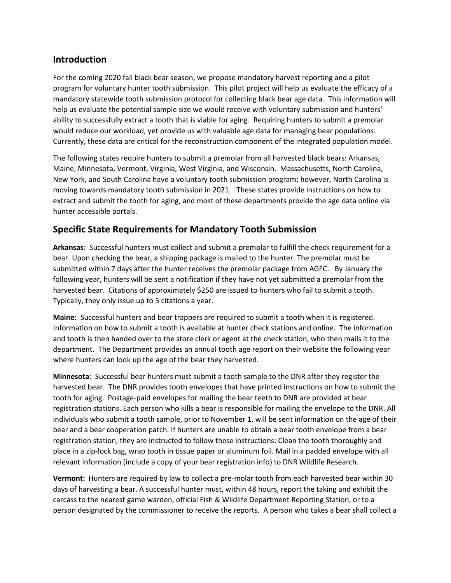### **Introduction**

For the coming 2020 fall black bear season, we propose mandatory harvest reporting and a pilot program for voluntary hunter tooth submission. This pilot project will help us evaluate the efficacy of a mandatory statewide tooth submission protocol for collecting black bear age data. This information will help us evaluate the potential sample size we would receive with voluntary submission and hunters' ability to successfully extract a tooth that is viable for aging. Requiring hunters to submit a premolar would reduce our workload, yet provide us with valuable age data for managing bear populations. Currently, these data are critical for the reconstruction component of the integrated population model.

The following states require hunters to submit a premolar from all harvested black bears: Arkansas, Maine, Minnesota, Vermont, Virginia, West Virginia, and Wisconsin. Massachusetts, North Carolina, New York, and South Carolina have a voluntary tooth submission program; however, North Carolina is moving towards mandatory tooth submission in 2021. These states provide instructions on how to extract and submit the tooth for aging, and most of these departments provide the age data online via hunter accessible portals.

## **Specific State Requirements for Mandatory Tooth Submission**

**Arkansas**: Successful hunters must collect and submit a premolar to fulfill the check requirement for a bear. Upon checking the bear, a shipping package is mailed to the hunter. The premolar must be submitted within 7 days after the hunter receives the premolar package from AGFC. By January the following year, hunters will be sent a notification if they have not yet submitted a premolar from the harvested bear. Citations of approximately \$250 are issued to hunters who fail to submit a tooth. Typically, they only issue up to 5 citations a year.

**Maine**: Successful hunters and bear trappers are required to submit a tooth when it is registered. Information on how to submit a tooth is available at hunter check stations and online. The information and tooth is then handed over to the store clerk or agent at the check station, who then mails it to the department. The Department provides an annual tooth age report on their website the following year where hunters can look up the age of the bear they harvested.

**Minnesota**: Successful bear hunters must submit a tooth sample to the DNR after they register the harvested bear. The DNR provides tooth envelopes that have printed instructions on how to submit the tooth for aging. Postage-paid envelopes for mailing the bear teeth to DNR are provided at bear registration stations. Each person who kills a bear is responsible for mailing the envelope to the DNR. All individuals who submit a tooth sample, prior to November 1, will be sent information on the age of their bear and a bear cooperation patch. If hunters are unable to obtain a bear tooth envelope from a bear registration station, they are instructed to follow these instructions: Clean the tooth thoroughly and place in a zip-lock bag, wrap tooth in tissue paper or aluminum foil. Mail in a padded envelope with all relevant information (include a copy of your bear registration info) to DNR Wildlife Research.

**Vermont:** Hunters are required by law to collect a pre-molar tooth from each harvested bear within 30 days of harvesting a bear. A successful hunter must, within 48 hours, report the taking and exhibit the carcass to the nearest game warden, official Fish & Wildlife Department Reporting Station, or to a person designated by the commissioner to receive the reports. A person who takes a bear shall collect a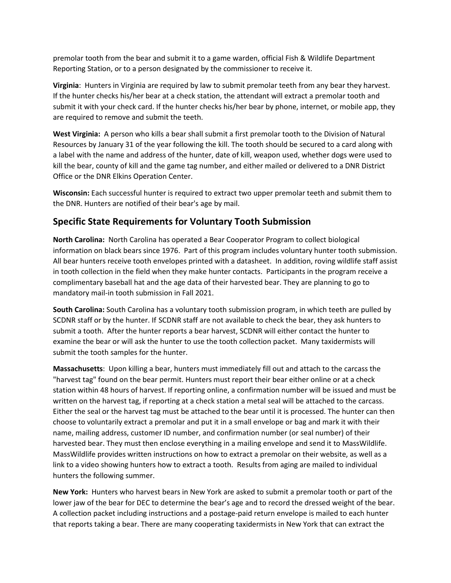premolar tooth from the bear and submit it to a game warden, official Fish & Wildlife Department Reporting Station, or to a person designated by the commissioner to receive it.

**Virginia**: Hunters in Virginia are required by law to submit premolar teeth from any bear they harvest. If the hunter checks his/her bear at a check station, the attendant will extract a premolar tooth and submit it with your check card. If the hunter checks his/her bear by phone, internet, or mobile app, they are required to remove and submit the teeth.

**West Virginia:** A person who kills a bear shall submit a first premolar tooth to the Division of Natural Resources by January 31 of the year following the kill. The tooth should be secured to a card along with a label with the name and address of the hunter, date of kill, weapon used, whether dogs were used to kill the bear, county of kill and the game tag number, and either mailed or delivered to a DNR District Office or the DNR Elkins Operation Center.

**Wisconsin:** Each successful hunter is required to extract two upper premolar teeth and submit them to the DNR. Hunters are notified of their bear's age by mail.

# **Specific State Requirements for Voluntary Tooth Submission**

**North Carolina:** North Carolina has operated a Bear Cooperator Program to collect biological information on black bears since 1976. Part of this program includes voluntary hunter tooth submission. All bear hunters receive tooth envelopes printed with a datasheet. In addition, roving wildlife staff assist in tooth collection in the field when they make hunter contacts. Participants in the program receive a complimentary baseball hat and the age data of their harvested bear. They are planning to go to mandatory mail-in tooth submission in Fall 2021.

**South Carolina:** South Carolina has a voluntary tooth submission program, in which teeth are pulled by SCDNR staff or by the hunter. If SCDNR staff are not available to check the bear, they ask hunters to submit a tooth. After the hunter reports a bear harvest, SCDNR will either contact the hunter to examine the bear or will ask the hunter to use the tooth collection packet. Many taxidermists will submit the tooth samples for the hunter.

**Massachusetts**: Upon killing a bear, hunters must immediately fill out and attach to the carcass the "harvest tag" found on the bear permit. Hunters must report their bear either online or at a check station within 48 hours of harvest. If reporting online, a confirmation number will be issued and must be written on the harvest tag, if reporting at a check station a metal seal will be attached to the carcass. Either the seal or the harvest tag must be attached to the bear until it is processed. The hunter can then choose to voluntarily extract a premolar and put it in a small envelope or bag and mark it with their name, mailing address, customer ID number, and confirmation number (or seal number) of their harvested bear. They must then enclose everything in a mailing envelope and send it to MassWildlife. MassWildlife provides written instructions on how to extract a premolar on their website, as well as a link to a video showing hunters how to extract a tooth. Results from aging are mailed to individual hunters the following summer.

**New York:** Hunters who harvest bears in New York are asked to submit a premolar tooth or part of the lower jaw of the bear for DEC to determine the bear's age and to record the dressed weight of the bear. A collection packet including instructions and a postage-paid return envelope is mailed to each hunter that reports taking a bear. There are many cooperating taxidermists in New York that can extract the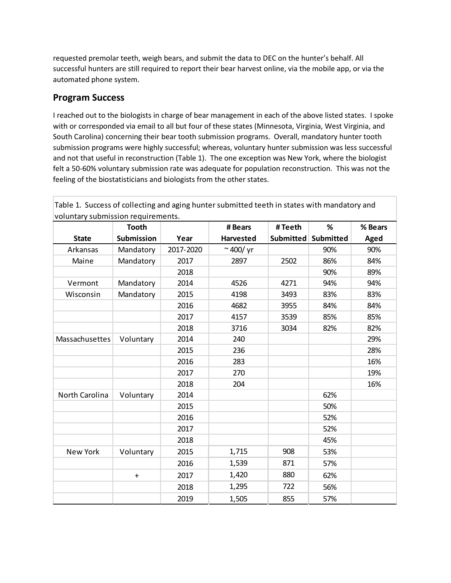requested premolar teeth, weigh bears, and submit the data to DEC on the hunter's behalf. All successful hunters are still required to report their bear harvest online, via the mobile app, or via the automated phone system.

### **Program Success**

I reached out to the biologists in charge of bear management in each of the above listed states. I spoke with or corresponded via email to all but four of these states (Minnesota, Virginia, West Virginia, and South Carolina) concerning their bear tooth submission programs. Overall, mandatory hunter tooth submission programs were highly successful; whereas, voluntary hunter submission was less successful and not that useful in reconstruction (Table 1). The one exception was New York, where the biologist felt a 50-60% voluntary submission rate was adequate for population reconstruction. This was not the feeling of the biostatisticians and biologists from the other states.

|                 | <b>Tooth</b>      |           | # Bears           | #Teeth           | %         | % Bears |
|-----------------|-------------------|-----------|-------------------|------------------|-----------|---------|
| <b>State</b>    | <b>Submission</b> | Year      | <b>Harvested</b>  | <b>Submitted</b> | Submitted | Aged    |
| Arkansas        | Mandatory         | 2017-2020 | $\approx$ 400/ yr |                  | 90%       | 90%     |
| Maine           | Mandatory         | 2017      | 2897              | 2502             | 86%       | 84%     |
|                 |                   | 2018      |                   |                  | 90%       | 89%     |
| Vermont         | Mandatory         | 2014      | 4526              | 4271             | 94%       | 94%     |
| Wisconsin       | Mandatory         | 2015      | 4198              | 3493             | 83%       | 83%     |
|                 |                   | 2016      | 4682              | 3955             | 84%       | 84%     |
|                 |                   | 2017      | 4157              | 3539             | 85%       | 85%     |
|                 |                   | 2018      | 3716              | 3034             | 82%       | 82%     |
| Massachusettes  | Voluntary         | 2014      | 240               |                  |           | 29%     |
|                 |                   | 2015      | 236               |                  |           | 28%     |
|                 |                   | 2016      | 283               |                  |           | 16%     |
|                 |                   | 2017      | 270               |                  |           | 19%     |
|                 |                   | 2018      | 204               |                  |           | 16%     |
| North Carolina  | Voluntary         | 2014      |                   |                  | 62%       |         |
|                 |                   | 2015      |                   |                  | 50%       |         |
|                 |                   | 2016      |                   |                  | 52%       |         |
|                 |                   | 2017      |                   |                  | 52%       |         |
|                 |                   | 2018      |                   |                  | 45%       |         |
| <b>New York</b> | Voluntary         | 2015      | 1,715             | 908              | 53%       |         |
|                 |                   | 2016      | 1,539             | 871              | 57%       |         |
|                 | $\ddot{}$         | 2017      | 1,420             | 880              | 62%       |         |
|                 |                   | 2018      | 1,295             | 722              | 56%       |         |
|                 |                   | 2019      | 1,505             | 855              | 57%       |         |

Table 1. Success of collecting and aging hunter submitted teeth in states with mandatory and voluntary submission requirements.